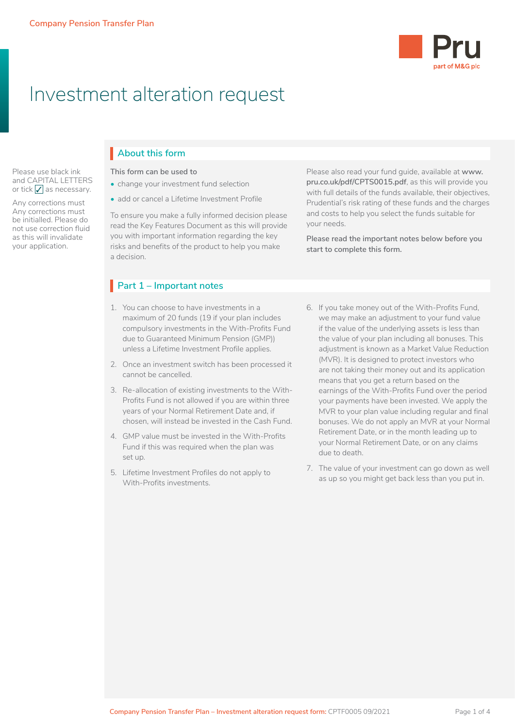Please use black ink and CAPITAL LETTERS or tick  $\sqrt{\ }$  as necessary. Any corrections must Any corrections must be initialled. Please do not use correction fluid as this will invalidate your application.



# Investment alteration request

## **About this form** I

**This form can be used to**

- change your investment fund selection
- add or cancel a Lifetime Investment Profile

To ensure you make a fully informed decision please read the Key Features Document as this will provide you with important information regarding the key risks and benefits of the product to help you make a decision.

## **Part 1 – Important notes**

- 1. You can choose to have investments in a maximum of 20 funds (19 if your plan includes compulsory investments in the With-Profits Fund due to Guaranteed Minimum Pension (GMP)) unless a Lifetime Investment Profile applies.
- 2. Once an investment switch has been processed it cannot be cancelled.
- 3. Re-allocation of existing investments to the With-Profits Fund is not allowed if you are within three years of your Normal Retirement Date and, if chosen, will instead be invested in the Cash Fund.
- 4. GMP value must be invested in the With-Profits Fund if this was required when the plan was set up.
- 5. Lifetime Investment Profiles do not apply to With-Profits investments.

Please also read your fund guide, available at **[www.](http://www.pru.co.uk/pdf/CPTS0015.pdf) [pru.co.uk/pdf/CPTS0015.pdf](http://www.pru.co.uk/pdf/CPTS0015.pdf)**, as this will provide you with full details of the funds available, their objectives, Prudential's risk rating of these funds and the charges and costs to help you select the funds suitable for your needs.

**Please read the important notes below before you start to complete this form.**

- 6. If you take money out of the With-Profits Fund, we may make an adjustment to your fund value if the value of the underlying assets is less than the value of your plan including all bonuses. This adjustment is known as a Market Value Reduction (MVR). It is designed to protect investors who are not taking their money out and its application means that you get a return based on the earnings of the With-Profits Fund over the period your payments have been invested. We apply the MVR to your plan value including regular and final bonuses. We do not apply an MVR at your Normal Retirement Date, or in the month leading up to your Normal Retirement Date, or on any claims due to death.
- 7. The value of your investment can go down as well as up so you might get back less than you put in.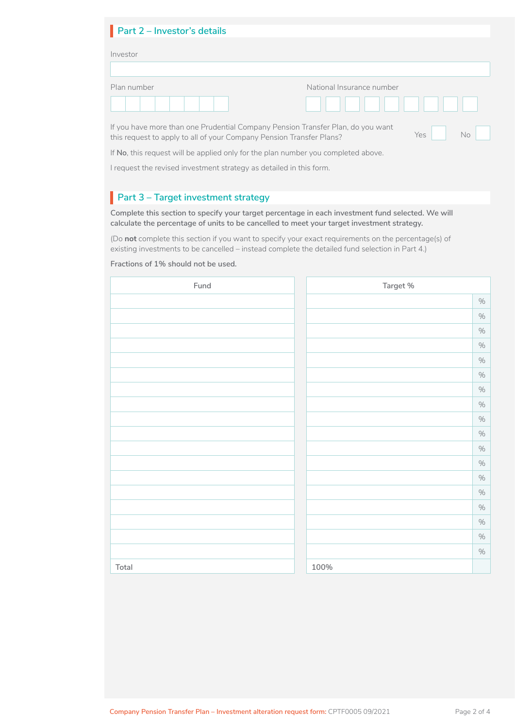| Part 2 - Investor's details |                           |
|-----------------------------|---------------------------|
| Investor                    |                           |
|                             |                           |
| Plan number                 | National Insurance number |
|                             |                           |

If you have more than one Prudential Company Pension Transfer Plan, do you want this request to apply to all of your Company Pension Transfer Plans?

If **No**, this request will be applied only for the plan number you completed above.

I request the revised investment strategy as detailed in this form.

## **Part 3 – Target investment strategy**

**Complete this section to specify your target percentage in each investment fund selected. We will calculate the percentage of units to be cancelled to meet your target investment strategy.**

(Do **not** complete this section if you want to specify your exact requirements on the percentage(s) of existing investments to be cancelled – instead complete the detailed fund selection in Part 4.)

**Fractions of 1% should not be used.**

| Fund  | Target % |
|-------|----------|
|       | $\%$     |
|       | $\%$     |
|       | $\%$     |
|       | $\%$     |
|       | $\%$     |
|       | $\%$     |
|       | $\%$     |
|       | $\%$     |
|       | $\%$     |
|       | $\%$     |
|       | $\%$     |
|       | $\%$     |
|       | $\%$     |
|       | $\%$     |
|       | $\%$     |
|       | $\%$     |
|       | $\%$     |
|       | $\%$     |
| Total | 100%     |

Yes No

No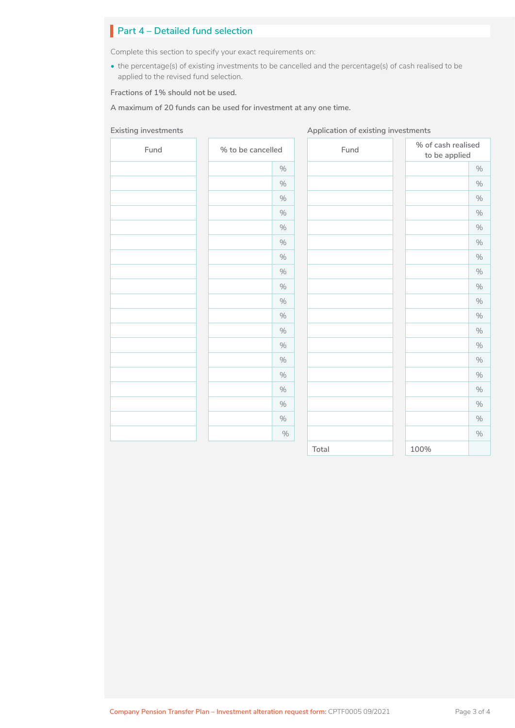## **Part 4 – Detailed fund selection**

Complete this section to specify your exact requirements on:

• the percentage(s) of existing investments to be cancelled and the percentage(s) of cash realised to be applied to the revised fund selection.

**Fractions of 1% should not be used.**

**A maximum of 20 funds can be used for investment at any one time.**

#### **Existing investments Application of existing investments Application of existing investments**

| Fund | % to be cancelled | Fund  | % of cash realised<br>to be applied |
|------|-------------------|-------|-------------------------------------|
|      | $\%$              |       | $\%$                                |
|      | $\%$              |       | $\%$                                |
|      | $\%$              |       | $\%$                                |
|      | $\%$              |       | $\%$                                |
|      | $\%$              |       | $\%$                                |
|      | $\%$              |       | $\%$                                |
|      | $\%$              |       | $\%$                                |
|      | $\%$              |       | $\%$                                |
|      | $\%$              |       | $\%$                                |
|      | $\%$              |       | $\%$                                |
|      | $\%$              |       | $\%$                                |
|      | $\%$              |       | $\%$                                |
|      | $\%$              |       | $\%$                                |
|      | $\%$              |       | $\%$                                |
|      | $\%$              |       | $\%$                                |
|      | $\%$              |       | $\%$                                |
|      | $\%$              |       | $\%$                                |
|      | $\%$              |       | $\%$                                |
|      | $\%$              |       | $\%$                                |
|      |                   | Total | 100%                                |